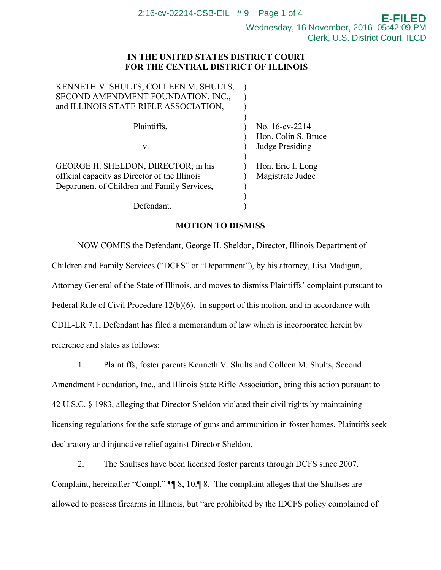Wednesday, 16 November, 2016 05:42:09 PM Clerk, U.S. District Court, ILCD

**E-FILED**

## **IN THE UNITED STATES DISTRICT COURT FOR THE CENTRAL DISTRICT OF ILLINOIS**

| KENNETH V. SHULTS, COLLEEN M. SHULTS,         |                     |
|-----------------------------------------------|---------------------|
| SECOND AMENDMENT FOUNDATION, INC.,            |                     |
| and ILLINOIS STATE RIFLE ASSOCIATION,         |                     |
|                                               |                     |
| Plaintiffs,                                   | No. 16-cv-2214      |
|                                               | Hon. Colin S. Bruce |
| V.                                            | Judge Presiding     |
|                                               |                     |
| GEORGE H. SHELDON, DIRECTOR, in his           | Hon. Eric I. Long   |
| official capacity as Director of the Illinois | Magistrate Judge    |
| Department of Children and Family Services,   |                     |
|                                               |                     |
| Defendant                                     |                     |
|                                               |                     |

## **MOTION TO DISMISS**

NOW COMES the Defendant, George H. Sheldon, Director, Illinois Department of Children and Family Services ("DCFS" or "Department"), by his attorney, Lisa Madigan, Attorney General of the State of Illinois, and moves to dismiss Plaintiffs' complaint pursuant to Federal Rule of Civil Procedure 12(b)(6).In support of this motion, and in accordance with CDIL-LR 7.1, Defendant has filed a memorandum of law which is incorporated herein by reference and states as follows:

1. Plaintiffs, foster parents Kenneth V. Shults and Colleen M. Shults, Second Amendment Foundation, Inc., and Illinois State Rifle Association, bring this action pursuant to 42 U.S.C. § 1983, alleging that Director Sheldon violated their civil rights by maintaining licensing regulations for the safe storage of guns and ammunition in foster homes. Plaintiffs seek declaratory and injunctive relief against Director Sheldon.

2. The Shultses have been licensed foster parents through DCFS since 2007. Complaint, hereinafter "Compl." ¶¶ 8, 10.¶ 8. The complaint alleges that the Shultses are allowed to possess firearms in Illinois, but "are prohibited by the IDCFS policy complained of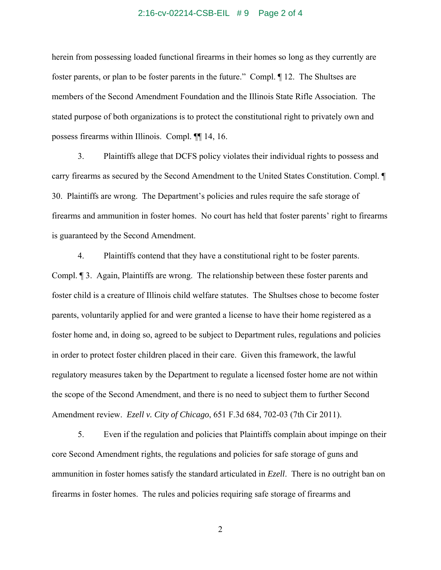### 2:16-cv-02214-CSB-EIL # 9 Page 2 of 4

herein from possessing loaded functional firearms in their homes so long as they currently are foster parents, or plan to be foster parents in the future." Compl. ¶ 12. The Shultses are members of the Second Amendment Foundation and the Illinois State Rifle Association. The stated purpose of both organizations is to protect the constitutional right to privately own and possess firearms within Illinois. Compl. ¶¶ 14, 16.

3. Plaintiffs allege that DCFS policy violates their individual rights to possess and carry firearms as secured by the Second Amendment to the United States Constitution. Compl. ¶ 30. Plaintiffs are wrong. The Department's policies and rules require the safe storage of firearms and ammunition in foster homes. No court has held that foster parents' right to firearms is guaranteed by the Second Amendment.

4. Plaintiffs contend that they have a constitutional right to be foster parents. Compl. ¶ 3. Again, Plaintiffs are wrong. The relationship between these foster parents and foster child is a creature of Illinois child welfare statutes. The Shultses chose to become foster parents, voluntarily applied for and were granted a license to have their home registered as a foster home and, in doing so, agreed to be subject to Department rules, regulations and policies in order to protect foster children placed in their care. Given this framework, the lawful regulatory measures taken by the Department to regulate a licensed foster home are not within the scope of the Second Amendment, and there is no need to subject them to further Second Amendment review. *Ezell v. City of Chicago*, 651 F.3d 684, 702-03 (7th Cir 2011).

5. Even if the regulation and policies that Plaintiffs complain about impinge on their core Second Amendment rights, the regulations and policies for safe storage of guns and ammunition in foster homes satisfy the standard articulated in *Ezell*. There is no outright ban on firearms in foster homes. The rules and policies requiring safe storage of firearms and

2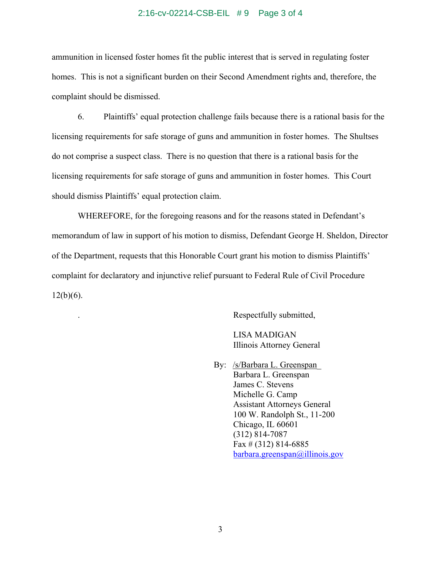#### 2:16-cv-02214-CSB-EIL # 9 Page 3 of 4

ammunition in licensed foster homes fit the public interest that is served in regulating foster homes. This is not a significant burden on their Second Amendment rights and, therefore, the complaint should be dismissed.

6. Plaintiffs' equal protection challenge fails because there is a rational basis for the licensing requirements for safe storage of guns and ammunition in foster homes. The Shultses do not comprise a suspect class. There is no question that there is a rational basis for the licensing requirements for safe storage of guns and ammunition in foster homes. This Court should dismiss Plaintiffs' equal protection claim.

WHEREFORE, for the foregoing reasons and for the reasons stated in Defendant's memorandum of law in support of his motion to dismiss, Defendant George H. Sheldon, Director of the Department, requests that this Honorable Court grant his motion to dismiss Plaintiffs' complaint for declaratory and injunctive relief pursuant to Federal Rule of Civil Procedure  $12(b)(6)$ .

. Respectfully submitted,

 LISA MADIGAN Illinois Attorney General

By: /s/Barbara L. Greenspan Barbara L. Greenspan James C. Stevens Michelle G. Camp Assistant Attorneys General 100 W. Randolph St., 11-200 Chicago, IL 60601 (312) 814-7087 Fax  $\#$  (312) 814-6885 barbara.greenspan@illinois.gov

3